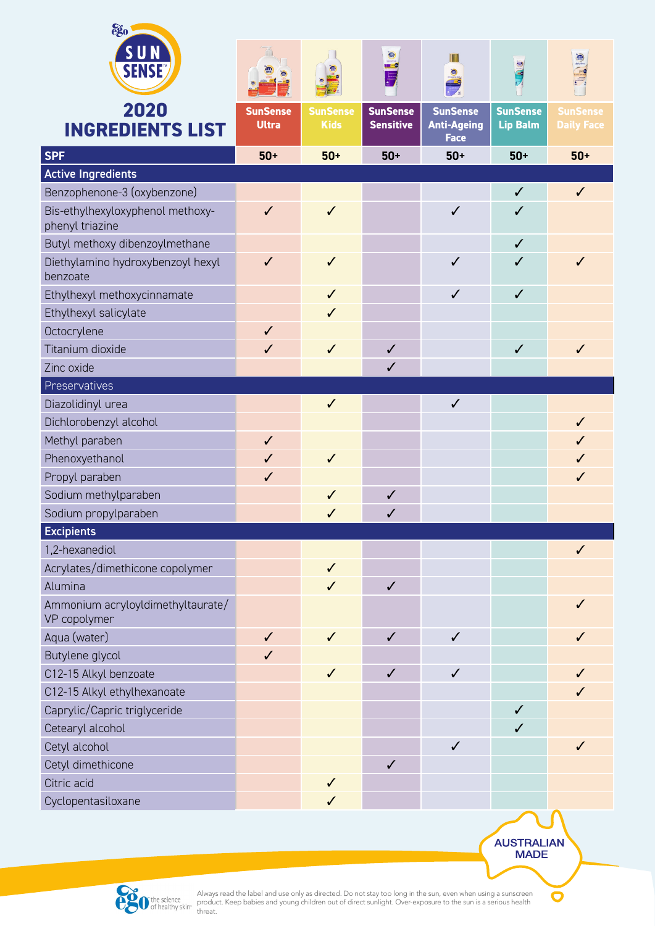| ego                                                 |                 |                 |                                       |                                   |                 |                   |
|-----------------------------------------------------|-----------------|-----------------|---------------------------------------|-----------------------------------|-----------------|-------------------|
| <b>SUN</b>                                          |                 |                 | $\mathbb{R}$<br>sensitive<br>Allen Co | T                                 |                 |                   |
| <b>SENSE</b>                                        |                 |                 | $\blacksquare$                        | <b>O</b>                          |                 |                   |
| 2020                                                | <b>SunSense</b> | <b>SunSense</b> | <b>SunSense</b>                       | <b>SunSense</b>                   | <b>SunSense</b> | <b>SunSense</b>   |
| <b>INGREDIENTS LIST</b>                             | <b>Ultra</b>    | <b>Kids</b>     | <b>Sensitive</b>                      | <b>Anti-Ageing</b><br><b>Face</b> | <b>Lip Balm</b> | <b>Daily Face</b> |
| <b>SPF</b>                                          | $50+$           | $50+$           | $50+$                                 | $50+$                             | $50+$           | $50+$             |
| <b>Active Ingredients</b>                           |                 |                 |                                       |                                   |                 |                   |
| Benzophenone-3 (oxybenzone)                         |                 |                 |                                       |                                   | $\checkmark$    | $\checkmark$      |
| Bis-ethylhexyloxyphenol methoxy-<br>phenyl triazine | $\checkmark$    | ✓               |                                       | $\checkmark$                      | $\checkmark$    |                   |
| Butyl methoxy dibenzoylmethane                      |                 |                 |                                       |                                   | ✓               |                   |
| Diethylamino hydroxybenzoyl hexyl<br>benzoate       | $\checkmark$    | $\checkmark$    |                                       | $\checkmark$                      | $\checkmark$    | $\checkmark$      |
| Ethylhexyl methoxycinnamate                         |                 | $\checkmark$    |                                       | $\checkmark$                      | $\checkmark$    |                   |
| Ethylhexyl salicylate                               |                 | $\checkmark$    |                                       |                                   |                 |                   |
| Octocrylene                                         | $\checkmark$    |                 |                                       |                                   |                 |                   |
| Titanium dioxide                                    | $\checkmark$    | $\checkmark$    | $\checkmark$                          |                                   | $\checkmark$    | $\checkmark$      |
| Zinc oxide                                          |                 |                 | $\checkmark$                          |                                   |                 |                   |
| Preservatives                                       |                 |                 |                                       |                                   |                 |                   |
| Diazolidinyl urea                                   |                 | $\checkmark$    |                                       | $\checkmark$                      |                 |                   |
| Dichlorobenzyl alcohol                              |                 |                 |                                       |                                   |                 | $\checkmark$      |
| Methyl paraben                                      | $\checkmark$    |                 |                                       |                                   |                 | $\checkmark$      |
| Phenoxyethanol                                      | $\checkmark$    | $\checkmark$    |                                       |                                   |                 | $\checkmark$      |
| Propyl paraben                                      | $\checkmark$    |                 |                                       |                                   |                 | $\checkmark$      |
| Sodium methylparaben                                |                 | ✓               | $\checkmark$                          |                                   |                 |                   |
| Sodium propylparaben                                |                 |                 |                                       |                                   |                 |                   |
| <b>Excipients</b>                                   |                 |                 |                                       |                                   |                 |                   |
| 1,2-hexanediol                                      |                 |                 |                                       |                                   |                 | $\checkmark$      |
| Acrylates/dimethicone copolymer                     |                 | $\checkmark$    |                                       |                                   |                 |                   |
| Alumina                                             |                 | $\checkmark$    | $\checkmark$                          |                                   |                 |                   |
| Ammonium acryloyldimethyltaurate/<br>VP copolymer   |                 |                 |                                       |                                   |                 | ✓                 |
| Aqua (water)                                        | $\checkmark$    | $\checkmark$    | $\checkmark$                          | $\checkmark$                      |                 |                   |
| Butylene glycol                                     | $\checkmark$    |                 |                                       |                                   |                 |                   |
| C12-15 Alkyl benzoate                               |                 | ✓               | $\checkmark$                          | ✓                                 |                 |                   |
| C12-15 Alkyl ethylhexanoate                         |                 |                 |                                       |                                   |                 |                   |
| Caprylic/Capric triglyceride                        |                 |                 |                                       |                                   | $\checkmark$    |                   |
| Cetearyl alcohol                                    |                 |                 |                                       |                                   | ✓               |                   |
| Cetyl alcohol                                       |                 |                 |                                       | $\checkmark$                      |                 | ✓                 |
| Cetyl dimethicone                                   |                 |                 | $\checkmark$                          |                                   |                 |                   |
| Citric acid                                         |                 | $\checkmark$    |                                       |                                   |                 |                   |
| Cyclopentasiloxane                                  |                 | $\checkmark$    |                                       |                                   |                 |                   |
|                                                     |                 |                 |                                       |                                   |                 |                   |



Always read the label and use only as directed. Do not stay too long in the sun, even when using a sunscreen product. Keep babies and young children out of direct sunlight. Over-exposure to the sun is a serious health threat.

AUSTRALIAN<br>MADE

 $\overline{\mathbf{C}}$